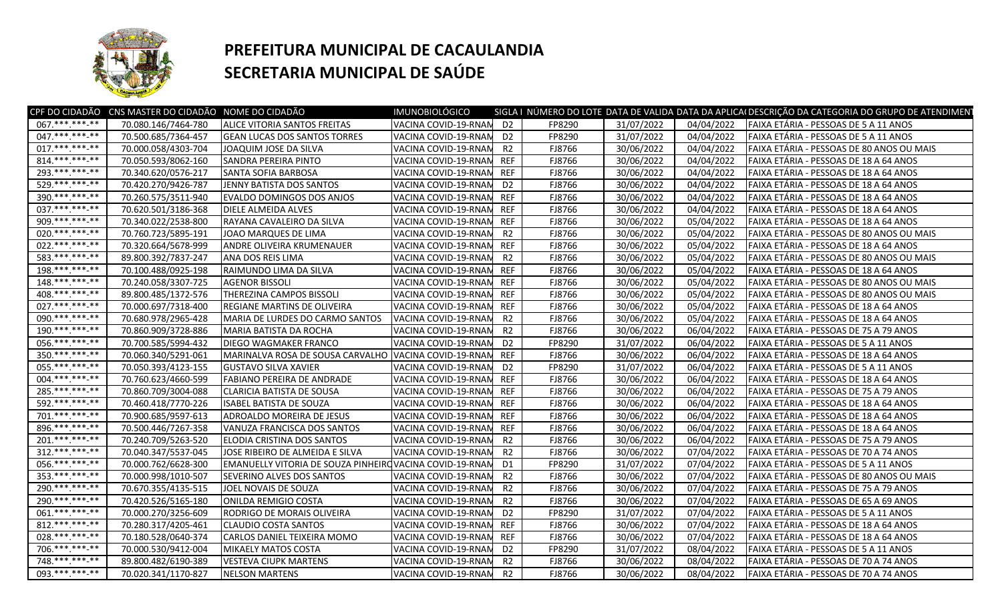

## **PREFEITURA MUNICIPAL DE CACAULANDIA SECRETARIA MUNICIPAL DE SAÚDE**

| 70.080.146/7464-780<br>VACINA COVID-19-RNAN<br>D <sub>2</sub><br>FP8290<br>31/07/2022<br>04/04/2022   FAIXA ETÁRIA - PESSOAS DE 5 A 11 ANOS<br><b>ALICE VITORIA SANTOS FREITAS</b><br>047. *** *** -**<br>31/07/2022<br>70.500.685/7364-457<br>D <sub>2</sub><br>FP8290<br>04/04/2022<br>FAIXA ETÁRIA - PESSOAS DE 5 A 11 ANOS<br><b>GEAN LUCAS DOS SANTOS TORRES</b><br>VACINA COVID-19-RNAN<br>017.*******-**<br>70.000.058/4303-704<br>30/06/2022<br>04/04/2022<br>FAIXA ETÁRIA - PESSOAS DE 80 ANOS OU MAIS<br>JOAQUIM JOSE DA SILVA<br>VACINA COVID-19-RNAM<br>R2<br>FJ8766<br>$814*********$<br><b>REF</b><br>FAIXA ETÁRIA - PESSOAS DE 18 A 64 ANOS<br>70.050.593/8062-160<br>SANDRA PEREIRA PINTO<br>VACINA COVID-19-RNAN<br>FJ8766<br>30/06/2022<br>04/04/2022<br>293. *** *** -**<br>30/06/2022<br>04/04/2022<br>FAIXA ETÁRIA - PESSOAS DE 18 A 64 ANOS<br>70.340.620/0576-217<br><b>SANTA SOFIA BARBOSA</b><br>VACINA COVID-19-RNAN<br><b>REF</b><br>FJ8766<br>529.***.****_**<br>30/06/2022<br>04/04/2022<br>70.420.270/9426-787<br>JENNY BATISTA DOS SANTOS<br>VACINA COVID-19-RNAN<br>D <sub>2</sub><br>FJ8766<br>FAIXA ETÁRIA - PESSOAS DE 18 A 64 ANOS<br>390 *** *** **<br><b>REF</b><br>70.260.575/3511-940<br>EVALDO DOMINGOS DOS ANJOS<br>VACINA COVID-19-RNAM<br>FJ8766<br>30/06/2022<br>04/04/2022<br>FAIXA ETÁRIA - PESSOAS DE 18 A 64 ANOS<br>037.***.***.**<br><b>REF</b><br>FJ8766<br>30/06/2022<br>04/04/2022<br>70.620.501/3186-368<br>DIELE ALMEIDA ALVES<br>VACINA COVID-19-RNAM<br>FAIXA ETÁRIA - PESSOAS DE 18 A 64 ANOS<br>909.***.***-**<br>70.340.022/2538-800<br><b>REF</b><br>FJ8766<br>30/06/2022<br>05/04/2022<br>FAIXA ETÁRIA - PESSOAS DE 18 A 64 ANOS<br>RAYANA CAVALEIRO DA SILVA<br>VACINA COVID-19-RNAN<br>020. *** *** -**<br>R2<br>FJ8766<br>30/06/2022<br>05/04/2022<br>FAIXA ETÁRIA - PESSOAS DE 80 ANOS OU MAIS<br>70.760.723/5895-191<br>JOAO MARQUES DE LIMA<br>VACINA COVID-19-RNAN<br>022. *** *** -**<br><b>REF</b><br>FJ8766<br>30/06/2022<br>05/04/2022<br>70.320.664/5678-999<br>ANDRE OLIVEIRA KRUMENAUER<br>VACINA COVID-19-RNAM<br>FAIXA ETÁRIA - PESSOAS DE 18 A 64 ANOS<br>583. *** *** **<br>89.800.392/7837-247<br>R2<br>FJ8766<br>30/06/2022<br>05/04/2022<br>FAIXA ETÁRIA - PESSOAS DE 80 ANOS OU MAIS<br>ANA DOS REIS LIMA<br>VACINA COVID-19-RNAN<br>$198*********$<br>VACINA COVID-19-RNAM<br><b>REF</b><br>FJ8766<br>30/06/2022<br>05/04/2022<br>FAIXA ETÁRIA - PESSOAS DE 18 A 64 ANOS<br>70.100.488/0925-198<br>RAIMUNDO LIMA DA SILVA<br>$148$ *** *** **<br>30/06/2022<br>70.240.058/3307-725<br>FJ8766<br>05/04/2022<br>FAIXA ETÁRIA - PESSOAS DE 80 ANOS OU MAIS<br><b>AGENOR BISSOLI</b><br>VACINA COVID-19-RNAM<br>REF<br>408 *** *** **<br>89.800.485/1372-576<br>THEREZINA CAMPOS BISSOLI<br><b>REF</b><br>30/06/2022<br>05/04/2022<br>FAIXA ETÁRIA - PESSOAS DE 80 ANOS OU MAIS<br>VACINA COVID-19-RNAN<br>FJ8766<br>027. *** *** **<br>FAIXA ETÁRIA - PESSOAS DE 18 A 64 ANOS<br>70.000.697/7318-400<br>REGIANE MARTINS DE OLIVEIRA<br>VACINA COVID-19-RNAM<br><b>REF</b><br>FJ8766<br>30/06/2022<br>05/04/2022<br>090.*** *** -**<br>MARIA DE LURDES DO CARMO SANTOS<br>VACINA COVID-19-RNAN<br>R2<br>30/06/2022<br>05/04/2022<br>FAIXA ETÁRIA - PESSOAS DE 18 A 64 ANOS<br>70.680.978/2965-428<br>FJ8766<br>$190*********$<br>R2<br>30/06/2022<br>70.860.909/3728-886<br>MARIA BATISTA DA ROCHA<br>VACINA COVID-19-RNAM<br>FJ8766<br>06/04/2022<br>FAIXA ETÁRIA - PESSOAS DE 75 A 79 ANOS<br>056.*******.**<br>D <sub>2</sub><br>FP8290<br>31/07/2022<br>06/04/2022<br>FAIXA ETÁRIA - PESSOAS DE 5 A 11 ANOS<br>70.700.585/5994-432<br><b>DIEGO WAGMAKER FRANCO</b><br>VACINA COVID-19-RNAM<br>350.*********<br>MARINALVA ROSA DE SOUSA CARVALHO VACINA COVID-19-RNAM<br><b>REF</b><br>FJ8766<br>30/06/2022<br>06/04/2022<br>FAIXA ETÁRIA - PESSOAS DE 18 A 64 ANOS<br>70.060.340/5291-061<br>$055$ .*** ***-**<br>D <sub>2</sub><br>31/07/2022<br>06/04/2022<br>FAIXA ETÁRIA - PESSOAS DE 5 A 11 ANOS<br>70.050.393/4123-155<br><b>GUSTAVO SILVA XAVIER</b><br>VACINA COVID-19-RNAN<br>FP8290<br>004. *** *** -**<br><b>REF</b><br>30/06/2022<br>06/04/2022<br>FAIXA ETÁRIA - PESSOAS DE 18 A 64 ANOS<br>70.760.623/4660-599<br><b>FABIANO PEREIRA DE ANDRADE</b><br>VACINA COVID-19-RNAM<br>FJ8766<br>$285******-*$<br><b>REF</b><br>FJ8766<br>30/06/2022<br>06/04/2022<br>FAIXA ETÁRIA - PESSOAS DE 75 A 79 ANOS<br>70.860.709/3004-088<br><b>CLARICIA BATISTA DE SOUSA</b><br>VACINA COVID-19-RNAM<br>592.***.***.**<br>70.460.418/7770-226<br><b>ISABEL BATISTA DE SOUZA</b><br>VACINA COVID-19-RNAN<br><b>REF</b><br>FJ8766<br>30/06/2022<br>06/04/2022<br>FAIXA ETÁRIA - PESSOAS DE 18 A 64 ANOS<br>$701.****.**$<br>30/06/2022<br>FAIXA ETÁRIA - PESSOAS DE 18 A 64 ANOS<br>70.900.685/9597-613<br>ADROALDO MOREIRA DE JESUS<br>VACINA COVID-19-RNAM<br><b>REF</b><br>FJ8766<br>06/04/2022<br>896.*** ***-**<br>70.500.446/7267-358<br><b>REF</b><br>FJ8766<br>30/06/2022<br>06/04/2022<br>FAIXA ETÁRIA - PESSOAS DE 18 A 64 ANOS<br>VANUZA FRANCISCA DOS SANTOS<br>VACINA COVID-19-RNAN<br>$201*********$<br>70.240.709/5263-520<br>VACINA COVID-19-RNAN<br>R2<br>30/06/2022<br>06/04/2022<br>FAIXA ETÁRIA - PESSOAS DE 75 A 79 ANOS<br>ELODIA CRISTINA DOS SANTOS<br>FJ8766<br>$312.*******.**$<br>70.040.347/5537-045<br>R2<br>30/06/2022<br>07/04/2022<br>FAIXA ETÁRIA - PESSOAS DE 70 A 74 ANOS<br>JOSE RIBEIRO DE ALMEIDA E SILVA<br>VACINA COVID-19-RNAN<br>FJ8766<br>056.***.***.**<br>70.000.762/6628-300<br>EMANUELLY VITORIA DE SOUZA PINHEIRO VACINA COVID-19-RNAN<br>31/07/2022<br>07/04/2022<br>FAIXA ETÁRIA - PESSOAS DE 5 A 11 ANOS<br>D1<br>FP8290<br>$353*********$<br>R2<br>70.000.998/1010-507<br>SEVERINO ALVES DOS SANTOS<br>VACINA COVID-19-RNAM<br>FJ8766<br>30/06/2022<br>07/04/2022<br>FAIXA ETÁRIA - PESSOAS DE 80 ANOS OU MAIS<br>$290.*******.**$<br>R2<br>FJ8766<br>30/06/2022<br>07/04/2022<br>FAIXA ETÁRIA - PESSOAS DE 75 A 79 ANOS<br>70.670.355/4135-515<br>JOEL NOVAIS DE SOUZA<br>VACINA COVID-19-RNAN<br>290. *** *** -**<br>R2<br>FJ8766<br>30/06/2022<br>07/04/2022<br>70.420.526/5165-180<br>FAIXA ETÁRIA - PESSOAS DE 65 A 69 ANOS<br>ONILDA REMIGIO COSTA<br>VACINA COVID-19-RNAN<br>061.*** *** **<br>D <sub>2</sub><br>31/07/2022<br>07/04/2022<br>70.000.270/3256-609<br>RODRIGO DE MORAIS OLIVEIRA<br>VACINA COVID-19-RNAN<br>FP8290<br>FAIXA ETÁRIA - PESSOAS DE 5 A 11 ANOS<br>812.******* <sub>**</sub><br><b>REF</b><br>FJ8766<br>30/06/2022<br>70.280.317/4205-461<br><b>CLAUDIO COSTA SANTOS</b><br>VACINA COVID-19-RNAM<br>07/04/2022<br>FAIXA ETÁRIA - PESSOAS DE 18 A 64 ANOS<br>028. *** *** -**<br><b>REF</b><br>FJ8766<br>30/06/2022<br>07/04/2022<br>FAIXA ETÁRIA - PESSOAS DE 18 A 64 ANOS<br>70.180.528/0640-374<br>CARLOS DANIEL TEIXEIRA MOMO<br>VACINA COVID-19-RNAN<br>706.***.***-**<br>70.000.530/9412-004<br>VACINA COVID-19-RNAM<br>D <sub>2</sub><br>FP8290<br>31/07/2022<br>08/04/2022<br>FAIXA ETÁRIA - PESSOAS DE 5 A 11 ANOS<br><b>MIKAELY MATOS COSTA</b><br>748.***.***.**<br>R2<br>FJ8766<br>30/06/2022<br>89.800.482/6190-389<br><b>VESTEVA CIUPK MARTENS</b><br>VACINA COVID-19-RNAN<br>08/04/2022<br>FAIXA ETÁRIA - PESSOAS DE 70 A 74 ANOS<br>093.*********<br>70.020.341/1170-827<br>VACINA COVID-19-RNAN<br>R <sub>2</sub><br>FJ8766<br>30/06/2022<br>08/04/2022<br>FAIXA ETÁRIA - PESSOAS DE 70 A 74 ANOS<br><b>NELSON MARTENS</b> |                   | CPF DO CIDADÃO CNS MASTER DO CIDADÃO NOME DO CIDADÃO | IMUNOBIOLÓGICO |  |  | SIGLA I NÚMERO DO LOTE DATA DE VALIDA DATA DA APLICAI DESCRIÇÃO DA CATEGORIA DO GRUPO DE ATENDIMEN |
|----------------------------------------------------------------------------------------------------------------------------------------------------------------------------------------------------------------------------------------------------------------------------------------------------------------------------------------------------------------------------------------------------------------------------------------------------------------------------------------------------------------------------------------------------------------------------------------------------------------------------------------------------------------------------------------------------------------------------------------------------------------------------------------------------------------------------------------------------------------------------------------------------------------------------------------------------------------------------------------------------------------------------------------------------------------------------------------------------------------------------------------------------------------------------------------------------------------------------------------------------------------------------------------------------------------------------------------------------------------------------------------------------------------------------------------------------------------------------------------------------------------------------------------------------------------------------------------------------------------------------------------------------------------------------------------------------------------------------------------------------------------------------------------------------------------------------------------------------------------------------------------------------------------------------------------------------------------------------------------------------------------------------------------------------------------------------------------------------------------------------------------------------------------------------------------------------------------------------------------------------------------------------------------------------------------------------------------------------------------------------------------------------------------------------------------------------------------------------------------------------------------------------------------------------------------------------------------------------------------------------------------------------------------------------------------------------------------------------------------------------------------------------------------------------------------------------------------------------------------------------------------------------------------------------------------------------------------------------------------------------------------------------------------------------------------------------------------------------------------------------------------------------------------------------------------------------------------------------------------------------------------------------------------------------------------------------------------------------------------------------------------------------------------------------------------------------------------------------------------------------------------------------------------------------------------------------------------------------------------------------------------------------------------------------------------------------------------------------------------------------------------------------------------------------------------------------------------------------------------------------------------------------------------------------------------------------------------------------------------------------------------------------------------------------------------------------------------------------------------------------------------------------------------------------------------------------------------------------------------------------------------------------------------------------------------------------------------------------------------------------------------------------------------------------------------------------------------------------------------------------------------------------------------------------------------------------------------------------------------------------------------------------------------------------------------------------------------------------------------------------------------------------------------------------------------------------------------------------------------------------------------------------------------------------------------------------------------------------------------------------------------------------------------------------------------------------------------------------------------------------------------------------------------------------------------------------------------------------------------------------------------------------------------------------------------------------------------------------------------------------------------------------------------------------------------------------------------------------------------------------------------------------------------------------------------------------------------------------------------------------------------------------------------------------------------------------------------------------------------------------------------------------------------------------------------------------------------------------------------------------------------------------------------------------------------------------------------------------------------------------------------------------------------------------------------------------------------------------------------------------------------------------------------------------------------------------------------------------------------------------------------------------------------------------------------------------------------------------------------------------------------------------------------------------------------------------------------------------------------------------------------------------------------------------------------------------------------------------------------------------------------------------------------------------------------------------------------------------------------------------------------------------------------------------------------------------------------------------------------------------------------------------------------------------------------------------------------------------------------------------------------------------------------------------------------------------------------------------------------------------------------------------------------------------------------------------------------------------------------------------------------------------------------------------------------------------------------------------------------------------------------------------------------------|-------------------|------------------------------------------------------|----------------|--|--|----------------------------------------------------------------------------------------------------|
|                                                                                                                                                                                                                                                                                                                                                                                                                                                                                                                                                                                                                                                                                                                                                                                                                                                                                                                                                                                                                                                                                                                                                                                                                                                                                                                                                                                                                                                                                                                                                                                                                                                                                                                                                                                                                                                                                                                                                                                                                                                                                                                                                                                                                                                                                                                                                                                                                                                                                                                                                                                                                                                                                                                                                                                                                                                                                                                                                                                                                                                                                                                                                                                                                                                                                                                                                                                                                                                                                                                                                                                                                                                                                                                                                                                                                                                                                                                                                                                                                                                                                                                                                                                                                                                                                                                                                                                                                                                                                                                                                                                                                                                                                                                                                                                                                                                                                                                                                                                                                                                                                                                                                                                                                                                                                                                                                                                                                                                                                                                                                                                                                                                                                                                                                                                                                                                                                                                                                                                                                                                                                                                                                                                                                                                                                                                                                                                                                                                                                                                                                                                                                                                                                                                                                                                                                                                                                                                                                                                                                                                                                                                                                                                                                                                                                                                                                                                                                      | $067$ .***.***_** |                                                      |                |  |  |                                                                                                    |
|                                                                                                                                                                                                                                                                                                                                                                                                                                                                                                                                                                                                                                                                                                                                                                                                                                                                                                                                                                                                                                                                                                                                                                                                                                                                                                                                                                                                                                                                                                                                                                                                                                                                                                                                                                                                                                                                                                                                                                                                                                                                                                                                                                                                                                                                                                                                                                                                                                                                                                                                                                                                                                                                                                                                                                                                                                                                                                                                                                                                                                                                                                                                                                                                                                                                                                                                                                                                                                                                                                                                                                                                                                                                                                                                                                                                                                                                                                                                                                                                                                                                                                                                                                                                                                                                                                                                                                                                                                                                                                                                                                                                                                                                                                                                                                                                                                                                                                                                                                                                                                                                                                                                                                                                                                                                                                                                                                                                                                                                                                                                                                                                                                                                                                                                                                                                                                                                                                                                                                                                                                                                                                                                                                                                                                                                                                                                                                                                                                                                                                                                                                                                                                                                                                                                                                                                                                                                                                                                                                                                                                                                                                                                                                                                                                                                                                                                                                                                                      |                   |                                                      |                |  |  |                                                                                                    |
|                                                                                                                                                                                                                                                                                                                                                                                                                                                                                                                                                                                                                                                                                                                                                                                                                                                                                                                                                                                                                                                                                                                                                                                                                                                                                                                                                                                                                                                                                                                                                                                                                                                                                                                                                                                                                                                                                                                                                                                                                                                                                                                                                                                                                                                                                                                                                                                                                                                                                                                                                                                                                                                                                                                                                                                                                                                                                                                                                                                                                                                                                                                                                                                                                                                                                                                                                                                                                                                                                                                                                                                                                                                                                                                                                                                                                                                                                                                                                                                                                                                                                                                                                                                                                                                                                                                                                                                                                                                                                                                                                                                                                                                                                                                                                                                                                                                                                                                                                                                                                                                                                                                                                                                                                                                                                                                                                                                                                                                                                                                                                                                                                                                                                                                                                                                                                                                                                                                                                                                                                                                                                                                                                                                                                                                                                                                                                                                                                                                                                                                                                                                                                                                                                                                                                                                                                                                                                                                                                                                                                                                                                                                                                                                                                                                                                                                                                                                                                      |                   |                                                      |                |  |  |                                                                                                    |
|                                                                                                                                                                                                                                                                                                                                                                                                                                                                                                                                                                                                                                                                                                                                                                                                                                                                                                                                                                                                                                                                                                                                                                                                                                                                                                                                                                                                                                                                                                                                                                                                                                                                                                                                                                                                                                                                                                                                                                                                                                                                                                                                                                                                                                                                                                                                                                                                                                                                                                                                                                                                                                                                                                                                                                                                                                                                                                                                                                                                                                                                                                                                                                                                                                                                                                                                                                                                                                                                                                                                                                                                                                                                                                                                                                                                                                                                                                                                                                                                                                                                                                                                                                                                                                                                                                                                                                                                                                                                                                                                                                                                                                                                                                                                                                                                                                                                                                                                                                                                                                                                                                                                                                                                                                                                                                                                                                                                                                                                                                                                                                                                                                                                                                                                                                                                                                                                                                                                                                                                                                                                                                                                                                                                                                                                                                                                                                                                                                                                                                                                                                                                                                                                                                                                                                                                                                                                                                                                                                                                                                                                                                                                                                                                                                                                                                                                                                                                                      |                   |                                                      |                |  |  |                                                                                                    |
|                                                                                                                                                                                                                                                                                                                                                                                                                                                                                                                                                                                                                                                                                                                                                                                                                                                                                                                                                                                                                                                                                                                                                                                                                                                                                                                                                                                                                                                                                                                                                                                                                                                                                                                                                                                                                                                                                                                                                                                                                                                                                                                                                                                                                                                                                                                                                                                                                                                                                                                                                                                                                                                                                                                                                                                                                                                                                                                                                                                                                                                                                                                                                                                                                                                                                                                                                                                                                                                                                                                                                                                                                                                                                                                                                                                                                                                                                                                                                                                                                                                                                                                                                                                                                                                                                                                                                                                                                                                                                                                                                                                                                                                                                                                                                                                                                                                                                                                                                                                                                                                                                                                                                                                                                                                                                                                                                                                                                                                                                                                                                                                                                                                                                                                                                                                                                                                                                                                                                                                                                                                                                                                                                                                                                                                                                                                                                                                                                                                                                                                                                                                                                                                                                                                                                                                                                                                                                                                                                                                                                                                                                                                                                                                                                                                                                                                                                                                                                      |                   |                                                      |                |  |  |                                                                                                    |
|                                                                                                                                                                                                                                                                                                                                                                                                                                                                                                                                                                                                                                                                                                                                                                                                                                                                                                                                                                                                                                                                                                                                                                                                                                                                                                                                                                                                                                                                                                                                                                                                                                                                                                                                                                                                                                                                                                                                                                                                                                                                                                                                                                                                                                                                                                                                                                                                                                                                                                                                                                                                                                                                                                                                                                                                                                                                                                                                                                                                                                                                                                                                                                                                                                                                                                                                                                                                                                                                                                                                                                                                                                                                                                                                                                                                                                                                                                                                                                                                                                                                                                                                                                                                                                                                                                                                                                                                                                                                                                                                                                                                                                                                                                                                                                                                                                                                                                                                                                                                                                                                                                                                                                                                                                                                                                                                                                                                                                                                                                                                                                                                                                                                                                                                                                                                                                                                                                                                                                                                                                                                                                                                                                                                                                                                                                                                                                                                                                                                                                                                                                                                                                                                                                                                                                                                                                                                                                                                                                                                                                                                                                                                                                                                                                                                                                                                                                                                                      |                   |                                                      |                |  |  |                                                                                                    |
|                                                                                                                                                                                                                                                                                                                                                                                                                                                                                                                                                                                                                                                                                                                                                                                                                                                                                                                                                                                                                                                                                                                                                                                                                                                                                                                                                                                                                                                                                                                                                                                                                                                                                                                                                                                                                                                                                                                                                                                                                                                                                                                                                                                                                                                                                                                                                                                                                                                                                                                                                                                                                                                                                                                                                                                                                                                                                                                                                                                                                                                                                                                                                                                                                                                                                                                                                                                                                                                                                                                                                                                                                                                                                                                                                                                                                                                                                                                                                                                                                                                                                                                                                                                                                                                                                                                                                                                                                                                                                                                                                                                                                                                                                                                                                                                                                                                                                                                                                                                                                                                                                                                                                                                                                                                                                                                                                                                                                                                                                                                                                                                                                                                                                                                                                                                                                                                                                                                                                                                                                                                                                                                                                                                                                                                                                                                                                                                                                                                                                                                                                                                                                                                                                                                                                                                                                                                                                                                                                                                                                                                                                                                                                                                                                                                                                                                                                                                                                      |                   |                                                      |                |  |  |                                                                                                    |
|                                                                                                                                                                                                                                                                                                                                                                                                                                                                                                                                                                                                                                                                                                                                                                                                                                                                                                                                                                                                                                                                                                                                                                                                                                                                                                                                                                                                                                                                                                                                                                                                                                                                                                                                                                                                                                                                                                                                                                                                                                                                                                                                                                                                                                                                                                                                                                                                                                                                                                                                                                                                                                                                                                                                                                                                                                                                                                                                                                                                                                                                                                                                                                                                                                                                                                                                                                                                                                                                                                                                                                                                                                                                                                                                                                                                                                                                                                                                                                                                                                                                                                                                                                                                                                                                                                                                                                                                                                                                                                                                                                                                                                                                                                                                                                                                                                                                                                                                                                                                                                                                                                                                                                                                                                                                                                                                                                                                                                                                                                                                                                                                                                                                                                                                                                                                                                                                                                                                                                                                                                                                                                                                                                                                                                                                                                                                                                                                                                                                                                                                                                                                                                                                                                                                                                                                                                                                                                                                                                                                                                                                                                                                                                                                                                                                                                                                                                                                                      |                   |                                                      |                |  |  |                                                                                                    |
|                                                                                                                                                                                                                                                                                                                                                                                                                                                                                                                                                                                                                                                                                                                                                                                                                                                                                                                                                                                                                                                                                                                                                                                                                                                                                                                                                                                                                                                                                                                                                                                                                                                                                                                                                                                                                                                                                                                                                                                                                                                                                                                                                                                                                                                                                                                                                                                                                                                                                                                                                                                                                                                                                                                                                                                                                                                                                                                                                                                                                                                                                                                                                                                                                                                                                                                                                                                                                                                                                                                                                                                                                                                                                                                                                                                                                                                                                                                                                                                                                                                                                                                                                                                                                                                                                                                                                                                                                                                                                                                                                                                                                                                                                                                                                                                                                                                                                                                                                                                                                                                                                                                                                                                                                                                                                                                                                                                                                                                                                                                                                                                                                                                                                                                                                                                                                                                                                                                                                                                                                                                                                                                                                                                                                                                                                                                                                                                                                                                                                                                                                                                                                                                                                                                                                                                                                                                                                                                                                                                                                                                                                                                                                                                                                                                                                                                                                                                                                      |                   |                                                      |                |  |  |                                                                                                    |
|                                                                                                                                                                                                                                                                                                                                                                                                                                                                                                                                                                                                                                                                                                                                                                                                                                                                                                                                                                                                                                                                                                                                                                                                                                                                                                                                                                                                                                                                                                                                                                                                                                                                                                                                                                                                                                                                                                                                                                                                                                                                                                                                                                                                                                                                                                                                                                                                                                                                                                                                                                                                                                                                                                                                                                                                                                                                                                                                                                                                                                                                                                                                                                                                                                                                                                                                                                                                                                                                                                                                                                                                                                                                                                                                                                                                                                                                                                                                                                                                                                                                                                                                                                                                                                                                                                                                                                                                                                                                                                                                                                                                                                                                                                                                                                                                                                                                                                                                                                                                                                                                                                                                                                                                                                                                                                                                                                                                                                                                                                                                                                                                                                                                                                                                                                                                                                                                                                                                                                                                                                                                                                                                                                                                                                                                                                                                                                                                                                                                                                                                                                                                                                                                                                                                                                                                                                                                                                                                                                                                                                                                                                                                                                                                                                                                                                                                                                                                                      |                   |                                                      |                |  |  |                                                                                                    |
|                                                                                                                                                                                                                                                                                                                                                                                                                                                                                                                                                                                                                                                                                                                                                                                                                                                                                                                                                                                                                                                                                                                                                                                                                                                                                                                                                                                                                                                                                                                                                                                                                                                                                                                                                                                                                                                                                                                                                                                                                                                                                                                                                                                                                                                                                                                                                                                                                                                                                                                                                                                                                                                                                                                                                                                                                                                                                                                                                                                                                                                                                                                                                                                                                                                                                                                                                                                                                                                                                                                                                                                                                                                                                                                                                                                                                                                                                                                                                                                                                                                                                                                                                                                                                                                                                                                                                                                                                                                                                                                                                                                                                                                                                                                                                                                                                                                                                                                                                                                                                                                                                                                                                                                                                                                                                                                                                                                                                                                                                                                                                                                                                                                                                                                                                                                                                                                                                                                                                                                                                                                                                                                                                                                                                                                                                                                                                                                                                                                                                                                                                                                                                                                                                                                                                                                                                                                                                                                                                                                                                                                                                                                                                                                                                                                                                                                                                                                                                      |                   |                                                      |                |  |  |                                                                                                    |
|                                                                                                                                                                                                                                                                                                                                                                                                                                                                                                                                                                                                                                                                                                                                                                                                                                                                                                                                                                                                                                                                                                                                                                                                                                                                                                                                                                                                                                                                                                                                                                                                                                                                                                                                                                                                                                                                                                                                                                                                                                                                                                                                                                                                                                                                                                                                                                                                                                                                                                                                                                                                                                                                                                                                                                                                                                                                                                                                                                                                                                                                                                                                                                                                                                                                                                                                                                                                                                                                                                                                                                                                                                                                                                                                                                                                                                                                                                                                                                                                                                                                                                                                                                                                                                                                                                                                                                                                                                                                                                                                                                                                                                                                                                                                                                                                                                                                                                                                                                                                                                                                                                                                                                                                                                                                                                                                                                                                                                                                                                                                                                                                                                                                                                                                                                                                                                                                                                                                                                                                                                                                                                                                                                                                                                                                                                                                                                                                                                                                                                                                                                                                                                                                                                                                                                                                                                                                                                                                                                                                                                                                                                                                                                                                                                                                                                                                                                                                                      |                   |                                                      |                |  |  |                                                                                                    |
|                                                                                                                                                                                                                                                                                                                                                                                                                                                                                                                                                                                                                                                                                                                                                                                                                                                                                                                                                                                                                                                                                                                                                                                                                                                                                                                                                                                                                                                                                                                                                                                                                                                                                                                                                                                                                                                                                                                                                                                                                                                                                                                                                                                                                                                                                                                                                                                                                                                                                                                                                                                                                                                                                                                                                                                                                                                                                                                                                                                                                                                                                                                                                                                                                                                                                                                                                                                                                                                                                                                                                                                                                                                                                                                                                                                                                                                                                                                                                                                                                                                                                                                                                                                                                                                                                                                                                                                                                                                                                                                                                                                                                                                                                                                                                                                                                                                                                                                                                                                                                                                                                                                                                                                                                                                                                                                                                                                                                                                                                                                                                                                                                                                                                                                                                                                                                                                                                                                                                                                                                                                                                                                                                                                                                                                                                                                                                                                                                                                                                                                                                                                                                                                                                                                                                                                                                                                                                                                                                                                                                                                                                                                                                                                                                                                                                                                                                                                                                      |                   |                                                      |                |  |  |                                                                                                    |
|                                                                                                                                                                                                                                                                                                                                                                                                                                                                                                                                                                                                                                                                                                                                                                                                                                                                                                                                                                                                                                                                                                                                                                                                                                                                                                                                                                                                                                                                                                                                                                                                                                                                                                                                                                                                                                                                                                                                                                                                                                                                                                                                                                                                                                                                                                                                                                                                                                                                                                                                                                                                                                                                                                                                                                                                                                                                                                                                                                                                                                                                                                                                                                                                                                                                                                                                                                                                                                                                                                                                                                                                                                                                                                                                                                                                                                                                                                                                                                                                                                                                                                                                                                                                                                                                                                                                                                                                                                                                                                                                                                                                                                                                                                                                                                                                                                                                                                                                                                                                                                                                                                                                                                                                                                                                                                                                                                                                                                                                                                                                                                                                                                                                                                                                                                                                                                                                                                                                                                                                                                                                                                                                                                                                                                                                                                                                                                                                                                                                                                                                                                                                                                                                                                                                                                                                                                                                                                                                                                                                                                                                                                                                                                                                                                                                                                                                                                                                                      |                   |                                                      |                |  |  |                                                                                                    |
|                                                                                                                                                                                                                                                                                                                                                                                                                                                                                                                                                                                                                                                                                                                                                                                                                                                                                                                                                                                                                                                                                                                                                                                                                                                                                                                                                                                                                                                                                                                                                                                                                                                                                                                                                                                                                                                                                                                                                                                                                                                                                                                                                                                                                                                                                                                                                                                                                                                                                                                                                                                                                                                                                                                                                                                                                                                                                                                                                                                                                                                                                                                                                                                                                                                                                                                                                                                                                                                                                                                                                                                                                                                                                                                                                                                                                                                                                                                                                                                                                                                                                                                                                                                                                                                                                                                                                                                                                                                                                                                                                                                                                                                                                                                                                                                                                                                                                                                                                                                                                                                                                                                                                                                                                                                                                                                                                                                                                                                                                                                                                                                                                                                                                                                                                                                                                                                                                                                                                                                                                                                                                                                                                                                                                                                                                                                                                                                                                                                                                                                                                                                                                                                                                                                                                                                                                                                                                                                                                                                                                                                                                                                                                                                                                                                                                                                                                                                                                      |                   |                                                      |                |  |  |                                                                                                    |
|                                                                                                                                                                                                                                                                                                                                                                                                                                                                                                                                                                                                                                                                                                                                                                                                                                                                                                                                                                                                                                                                                                                                                                                                                                                                                                                                                                                                                                                                                                                                                                                                                                                                                                                                                                                                                                                                                                                                                                                                                                                                                                                                                                                                                                                                                                                                                                                                                                                                                                                                                                                                                                                                                                                                                                                                                                                                                                                                                                                                                                                                                                                                                                                                                                                                                                                                                                                                                                                                                                                                                                                                                                                                                                                                                                                                                                                                                                                                                                                                                                                                                                                                                                                                                                                                                                                                                                                                                                                                                                                                                                                                                                                                                                                                                                                                                                                                                                                                                                                                                                                                                                                                                                                                                                                                                                                                                                                                                                                                                                                                                                                                                                                                                                                                                                                                                                                                                                                                                                                                                                                                                                                                                                                                                                                                                                                                                                                                                                                                                                                                                                                                                                                                                                                                                                                                                                                                                                                                                                                                                                                                                                                                                                                                                                                                                                                                                                                                                      |                   |                                                      |                |  |  |                                                                                                    |
|                                                                                                                                                                                                                                                                                                                                                                                                                                                                                                                                                                                                                                                                                                                                                                                                                                                                                                                                                                                                                                                                                                                                                                                                                                                                                                                                                                                                                                                                                                                                                                                                                                                                                                                                                                                                                                                                                                                                                                                                                                                                                                                                                                                                                                                                                                                                                                                                                                                                                                                                                                                                                                                                                                                                                                                                                                                                                                                                                                                                                                                                                                                                                                                                                                                                                                                                                                                                                                                                                                                                                                                                                                                                                                                                                                                                                                                                                                                                                                                                                                                                                                                                                                                                                                                                                                                                                                                                                                                                                                                                                                                                                                                                                                                                                                                                                                                                                                                                                                                                                                                                                                                                                                                                                                                                                                                                                                                                                                                                                                                                                                                                                                                                                                                                                                                                                                                                                                                                                                                                                                                                                                                                                                                                                                                                                                                                                                                                                                                                                                                                                                                                                                                                                                                                                                                                                                                                                                                                                                                                                                                                                                                                                                                                                                                                                                                                                                                                                      |                   |                                                      |                |  |  |                                                                                                    |
|                                                                                                                                                                                                                                                                                                                                                                                                                                                                                                                                                                                                                                                                                                                                                                                                                                                                                                                                                                                                                                                                                                                                                                                                                                                                                                                                                                                                                                                                                                                                                                                                                                                                                                                                                                                                                                                                                                                                                                                                                                                                                                                                                                                                                                                                                                                                                                                                                                                                                                                                                                                                                                                                                                                                                                                                                                                                                                                                                                                                                                                                                                                                                                                                                                                                                                                                                                                                                                                                                                                                                                                                                                                                                                                                                                                                                                                                                                                                                                                                                                                                                                                                                                                                                                                                                                                                                                                                                                                                                                                                                                                                                                                                                                                                                                                                                                                                                                                                                                                                                                                                                                                                                                                                                                                                                                                                                                                                                                                                                                                                                                                                                                                                                                                                                                                                                                                                                                                                                                                                                                                                                                                                                                                                                                                                                                                                                                                                                                                                                                                                                                                                                                                                                                                                                                                                                                                                                                                                                                                                                                                                                                                                                                                                                                                                                                                                                                                                                      |                   |                                                      |                |  |  |                                                                                                    |
|                                                                                                                                                                                                                                                                                                                                                                                                                                                                                                                                                                                                                                                                                                                                                                                                                                                                                                                                                                                                                                                                                                                                                                                                                                                                                                                                                                                                                                                                                                                                                                                                                                                                                                                                                                                                                                                                                                                                                                                                                                                                                                                                                                                                                                                                                                                                                                                                                                                                                                                                                                                                                                                                                                                                                                                                                                                                                                                                                                                                                                                                                                                                                                                                                                                                                                                                                                                                                                                                                                                                                                                                                                                                                                                                                                                                                                                                                                                                                                                                                                                                                                                                                                                                                                                                                                                                                                                                                                                                                                                                                                                                                                                                                                                                                                                                                                                                                                                                                                                                                                                                                                                                                                                                                                                                                                                                                                                                                                                                                                                                                                                                                                                                                                                                                                                                                                                                                                                                                                                                                                                                                                                                                                                                                                                                                                                                                                                                                                                                                                                                                                                                                                                                                                                                                                                                                                                                                                                                                                                                                                                                                                                                                                                                                                                                                                                                                                                                                      |                   |                                                      |                |  |  |                                                                                                    |
|                                                                                                                                                                                                                                                                                                                                                                                                                                                                                                                                                                                                                                                                                                                                                                                                                                                                                                                                                                                                                                                                                                                                                                                                                                                                                                                                                                                                                                                                                                                                                                                                                                                                                                                                                                                                                                                                                                                                                                                                                                                                                                                                                                                                                                                                                                                                                                                                                                                                                                                                                                                                                                                                                                                                                                                                                                                                                                                                                                                                                                                                                                                                                                                                                                                                                                                                                                                                                                                                                                                                                                                                                                                                                                                                                                                                                                                                                                                                                                                                                                                                                                                                                                                                                                                                                                                                                                                                                                                                                                                                                                                                                                                                                                                                                                                                                                                                                                                                                                                                                                                                                                                                                                                                                                                                                                                                                                                                                                                                                                                                                                                                                                                                                                                                                                                                                                                                                                                                                                                                                                                                                                                                                                                                                                                                                                                                                                                                                                                                                                                                                                                                                                                                                                                                                                                                                                                                                                                                                                                                                                                                                                                                                                                                                                                                                                                                                                                                                      |                   |                                                      |                |  |  |                                                                                                    |
|                                                                                                                                                                                                                                                                                                                                                                                                                                                                                                                                                                                                                                                                                                                                                                                                                                                                                                                                                                                                                                                                                                                                                                                                                                                                                                                                                                                                                                                                                                                                                                                                                                                                                                                                                                                                                                                                                                                                                                                                                                                                                                                                                                                                                                                                                                                                                                                                                                                                                                                                                                                                                                                                                                                                                                                                                                                                                                                                                                                                                                                                                                                                                                                                                                                                                                                                                                                                                                                                                                                                                                                                                                                                                                                                                                                                                                                                                                                                                                                                                                                                                                                                                                                                                                                                                                                                                                                                                                                                                                                                                                                                                                                                                                                                                                                                                                                                                                                                                                                                                                                                                                                                                                                                                                                                                                                                                                                                                                                                                                                                                                                                                                                                                                                                                                                                                                                                                                                                                                                                                                                                                                                                                                                                                                                                                                                                                                                                                                                                                                                                                                                                                                                                                                                                                                                                                                                                                                                                                                                                                                                                                                                                                                                                                                                                                                                                                                                                                      |                   |                                                      |                |  |  |                                                                                                    |
|                                                                                                                                                                                                                                                                                                                                                                                                                                                                                                                                                                                                                                                                                                                                                                                                                                                                                                                                                                                                                                                                                                                                                                                                                                                                                                                                                                                                                                                                                                                                                                                                                                                                                                                                                                                                                                                                                                                                                                                                                                                                                                                                                                                                                                                                                                                                                                                                                                                                                                                                                                                                                                                                                                                                                                                                                                                                                                                                                                                                                                                                                                                                                                                                                                                                                                                                                                                                                                                                                                                                                                                                                                                                                                                                                                                                                                                                                                                                                                                                                                                                                                                                                                                                                                                                                                                                                                                                                                                                                                                                                                                                                                                                                                                                                                                                                                                                                                                                                                                                                                                                                                                                                                                                                                                                                                                                                                                                                                                                                                                                                                                                                                                                                                                                                                                                                                                                                                                                                                                                                                                                                                                                                                                                                                                                                                                                                                                                                                                                                                                                                                                                                                                                                                                                                                                                                                                                                                                                                                                                                                                                                                                                                                                                                                                                                                                                                                                                                      |                   |                                                      |                |  |  |                                                                                                    |
|                                                                                                                                                                                                                                                                                                                                                                                                                                                                                                                                                                                                                                                                                                                                                                                                                                                                                                                                                                                                                                                                                                                                                                                                                                                                                                                                                                                                                                                                                                                                                                                                                                                                                                                                                                                                                                                                                                                                                                                                                                                                                                                                                                                                                                                                                                                                                                                                                                                                                                                                                                                                                                                                                                                                                                                                                                                                                                                                                                                                                                                                                                                                                                                                                                                                                                                                                                                                                                                                                                                                                                                                                                                                                                                                                                                                                                                                                                                                                                                                                                                                                                                                                                                                                                                                                                                                                                                                                                                                                                                                                                                                                                                                                                                                                                                                                                                                                                                                                                                                                                                                                                                                                                                                                                                                                                                                                                                                                                                                                                                                                                                                                                                                                                                                                                                                                                                                                                                                                                                                                                                                                                                                                                                                                                                                                                                                                                                                                                                                                                                                                                                                                                                                                                                                                                                                                                                                                                                                                                                                                                                                                                                                                                                                                                                                                                                                                                                                                      |                   |                                                      |                |  |  |                                                                                                    |
|                                                                                                                                                                                                                                                                                                                                                                                                                                                                                                                                                                                                                                                                                                                                                                                                                                                                                                                                                                                                                                                                                                                                                                                                                                                                                                                                                                                                                                                                                                                                                                                                                                                                                                                                                                                                                                                                                                                                                                                                                                                                                                                                                                                                                                                                                                                                                                                                                                                                                                                                                                                                                                                                                                                                                                                                                                                                                                                                                                                                                                                                                                                                                                                                                                                                                                                                                                                                                                                                                                                                                                                                                                                                                                                                                                                                                                                                                                                                                                                                                                                                                                                                                                                                                                                                                                                                                                                                                                                                                                                                                                                                                                                                                                                                                                                                                                                                                                                                                                                                                                                                                                                                                                                                                                                                                                                                                                                                                                                                                                                                                                                                                                                                                                                                                                                                                                                                                                                                                                                                                                                                                                                                                                                                                                                                                                                                                                                                                                                                                                                                                                                                                                                                                                                                                                                                                                                                                                                                                                                                                                                                                                                                                                                                                                                                                                                                                                                                                      |                   |                                                      |                |  |  |                                                                                                    |
|                                                                                                                                                                                                                                                                                                                                                                                                                                                                                                                                                                                                                                                                                                                                                                                                                                                                                                                                                                                                                                                                                                                                                                                                                                                                                                                                                                                                                                                                                                                                                                                                                                                                                                                                                                                                                                                                                                                                                                                                                                                                                                                                                                                                                                                                                                                                                                                                                                                                                                                                                                                                                                                                                                                                                                                                                                                                                                                                                                                                                                                                                                                                                                                                                                                                                                                                                                                                                                                                                                                                                                                                                                                                                                                                                                                                                                                                                                                                                                                                                                                                                                                                                                                                                                                                                                                                                                                                                                                                                                                                                                                                                                                                                                                                                                                                                                                                                                                                                                                                                                                                                                                                                                                                                                                                                                                                                                                                                                                                                                                                                                                                                                                                                                                                                                                                                                                                                                                                                                                                                                                                                                                                                                                                                                                                                                                                                                                                                                                                                                                                                                                                                                                                                                                                                                                                                                                                                                                                                                                                                                                                                                                                                                                                                                                                                                                                                                                                                      |                   |                                                      |                |  |  |                                                                                                    |
|                                                                                                                                                                                                                                                                                                                                                                                                                                                                                                                                                                                                                                                                                                                                                                                                                                                                                                                                                                                                                                                                                                                                                                                                                                                                                                                                                                                                                                                                                                                                                                                                                                                                                                                                                                                                                                                                                                                                                                                                                                                                                                                                                                                                                                                                                                                                                                                                                                                                                                                                                                                                                                                                                                                                                                                                                                                                                                                                                                                                                                                                                                                                                                                                                                                                                                                                                                                                                                                                                                                                                                                                                                                                                                                                                                                                                                                                                                                                                                                                                                                                                                                                                                                                                                                                                                                                                                                                                                                                                                                                                                                                                                                                                                                                                                                                                                                                                                                                                                                                                                                                                                                                                                                                                                                                                                                                                                                                                                                                                                                                                                                                                                                                                                                                                                                                                                                                                                                                                                                                                                                                                                                                                                                                                                                                                                                                                                                                                                                                                                                                                                                                                                                                                                                                                                                                                                                                                                                                                                                                                                                                                                                                                                                                                                                                                                                                                                                                                      |                   |                                                      |                |  |  |                                                                                                    |
|                                                                                                                                                                                                                                                                                                                                                                                                                                                                                                                                                                                                                                                                                                                                                                                                                                                                                                                                                                                                                                                                                                                                                                                                                                                                                                                                                                                                                                                                                                                                                                                                                                                                                                                                                                                                                                                                                                                                                                                                                                                                                                                                                                                                                                                                                                                                                                                                                                                                                                                                                                                                                                                                                                                                                                                                                                                                                                                                                                                                                                                                                                                                                                                                                                                                                                                                                                                                                                                                                                                                                                                                                                                                                                                                                                                                                                                                                                                                                                                                                                                                                                                                                                                                                                                                                                                                                                                                                                                                                                                                                                                                                                                                                                                                                                                                                                                                                                                                                                                                                                                                                                                                                                                                                                                                                                                                                                                                                                                                                                                                                                                                                                                                                                                                                                                                                                                                                                                                                                                                                                                                                                                                                                                                                                                                                                                                                                                                                                                                                                                                                                                                                                                                                                                                                                                                                                                                                                                                                                                                                                                                                                                                                                                                                                                                                                                                                                                                                      |                   |                                                      |                |  |  |                                                                                                    |
|                                                                                                                                                                                                                                                                                                                                                                                                                                                                                                                                                                                                                                                                                                                                                                                                                                                                                                                                                                                                                                                                                                                                                                                                                                                                                                                                                                                                                                                                                                                                                                                                                                                                                                                                                                                                                                                                                                                                                                                                                                                                                                                                                                                                                                                                                                                                                                                                                                                                                                                                                                                                                                                                                                                                                                                                                                                                                                                                                                                                                                                                                                                                                                                                                                                                                                                                                                                                                                                                                                                                                                                                                                                                                                                                                                                                                                                                                                                                                                                                                                                                                                                                                                                                                                                                                                                                                                                                                                                                                                                                                                                                                                                                                                                                                                                                                                                                                                                                                                                                                                                                                                                                                                                                                                                                                                                                                                                                                                                                                                                                                                                                                                                                                                                                                                                                                                                                                                                                                                                                                                                                                                                                                                                                                                                                                                                                                                                                                                                                                                                                                                                                                                                                                                                                                                                                                                                                                                                                                                                                                                                                                                                                                                                                                                                                                                                                                                                                                      |                   |                                                      |                |  |  |                                                                                                    |
|                                                                                                                                                                                                                                                                                                                                                                                                                                                                                                                                                                                                                                                                                                                                                                                                                                                                                                                                                                                                                                                                                                                                                                                                                                                                                                                                                                                                                                                                                                                                                                                                                                                                                                                                                                                                                                                                                                                                                                                                                                                                                                                                                                                                                                                                                                                                                                                                                                                                                                                                                                                                                                                                                                                                                                                                                                                                                                                                                                                                                                                                                                                                                                                                                                                                                                                                                                                                                                                                                                                                                                                                                                                                                                                                                                                                                                                                                                                                                                                                                                                                                                                                                                                                                                                                                                                                                                                                                                                                                                                                                                                                                                                                                                                                                                                                                                                                                                                                                                                                                                                                                                                                                                                                                                                                                                                                                                                                                                                                                                                                                                                                                                                                                                                                                                                                                                                                                                                                                                                                                                                                                                                                                                                                                                                                                                                                                                                                                                                                                                                                                                                                                                                                                                                                                                                                                                                                                                                                                                                                                                                                                                                                                                                                                                                                                                                                                                                                                      |                   |                                                      |                |  |  |                                                                                                    |
|                                                                                                                                                                                                                                                                                                                                                                                                                                                                                                                                                                                                                                                                                                                                                                                                                                                                                                                                                                                                                                                                                                                                                                                                                                                                                                                                                                                                                                                                                                                                                                                                                                                                                                                                                                                                                                                                                                                                                                                                                                                                                                                                                                                                                                                                                                                                                                                                                                                                                                                                                                                                                                                                                                                                                                                                                                                                                                                                                                                                                                                                                                                                                                                                                                                                                                                                                                                                                                                                                                                                                                                                                                                                                                                                                                                                                                                                                                                                                                                                                                                                                                                                                                                                                                                                                                                                                                                                                                                                                                                                                                                                                                                                                                                                                                                                                                                                                                                                                                                                                                                                                                                                                                                                                                                                                                                                                                                                                                                                                                                                                                                                                                                                                                                                                                                                                                                                                                                                                                                                                                                                                                                                                                                                                                                                                                                                                                                                                                                                                                                                                                                                                                                                                                                                                                                                                                                                                                                                                                                                                                                                                                                                                                                                                                                                                                                                                                                                                      |                   |                                                      |                |  |  |                                                                                                    |
|                                                                                                                                                                                                                                                                                                                                                                                                                                                                                                                                                                                                                                                                                                                                                                                                                                                                                                                                                                                                                                                                                                                                                                                                                                                                                                                                                                                                                                                                                                                                                                                                                                                                                                                                                                                                                                                                                                                                                                                                                                                                                                                                                                                                                                                                                                                                                                                                                                                                                                                                                                                                                                                                                                                                                                                                                                                                                                                                                                                                                                                                                                                                                                                                                                                                                                                                                                                                                                                                                                                                                                                                                                                                                                                                                                                                                                                                                                                                                                                                                                                                                                                                                                                                                                                                                                                                                                                                                                                                                                                                                                                                                                                                                                                                                                                                                                                                                                                                                                                                                                                                                                                                                                                                                                                                                                                                                                                                                                                                                                                                                                                                                                                                                                                                                                                                                                                                                                                                                                                                                                                                                                                                                                                                                                                                                                                                                                                                                                                                                                                                                                                                                                                                                                                                                                                                                                                                                                                                                                                                                                                                                                                                                                                                                                                                                                                                                                                                                      |                   |                                                      |                |  |  |                                                                                                    |
|                                                                                                                                                                                                                                                                                                                                                                                                                                                                                                                                                                                                                                                                                                                                                                                                                                                                                                                                                                                                                                                                                                                                                                                                                                                                                                                                                                                                                                                                                                                                                                                                                                                                                                                                                                                                                                                                                                                                                                                                                                                                                                                                                                                                                                                                                                                                                                                                                                                                                                                                                                                                                                                                                                                                                                                                                                                                                                                                                                                                                                                                                                                                                                                                                                                                                                                                                                                                                                                                                                                                                                                                                                                                                                                                                                                                                                                                                                                                                                                                                                                                                                                                                                                                                                                                                                                                                                                                                                                                                                                                                                                                                                                                                                                                                                                                                                                                                                                                                                                                                                                                                                                                                                                                                                                                                                                                                                                                                                                                                                                                                                                                                                                                                                                                                                                                                                                                                                                                                                                                                                                                                                                                                                                                                                                                                                                                                                                                                                                                                                                                                                                                                                                                                                                                                                                                                                                                                                                                                                                                                                                                                                                                                                                                                                                                                                                                                                                                                      |                   |                                                      |                |  |  |                                                                                                    |
|                                                                                                                                                                                                                                                                                                                                                                                                                                                                                                                                                                                                                                                                                                                                                                                                                                                                                                                                                                                                                                                                                                                                                                                                                                                                                                                                                                                                                                                                                                                                                                                                                                                                                                                                                                                                                                                                                                                                                                                                                                                                                                                                                                                                                                                                                                                                                                                                                                                                                                                                                                                                                                                                                                                                                                                                                                                                                                                                                                                                                                                                                                                                                                                                                                                                                                                                                                                                                                                                                                                                                                                                                                                                                                                                                                                                                                                                                                                                                                                                                                                                                                                                                                                                                                                                                                                                                                                                                                                                                                                                                                                                                                                                                                                                                                                                                                                                                                                                                                                                                                                                                                                                                                                                                                                                                                                                                                                                                                                                                                                                                                                                                                                                                                                                                                                                                                                                                                                                                                                                                                                                                                                                                                                                                                                                                                                                                                                                                                                                                                                                                                                                                                                                                                                                                                                                                                                                                                                                                                                                                                                                                                                                                                                                                                                                                                                                                                                                                      |                   |                                                      |                |  |  |                                                                                                    |
|                                                                                                                                                                                                                                                                                                                                                                                                                                                                                                                                                                                                                                                                                                                                                                                                                                                                                                                                                                                                                                                                                                                                                                                                                                                                                                                                                                                                                                                                                                                                                                                                                                                                                                                                                                                                                                                                                                                                                                                                                                                                                                                                                                                                                                                                                                                                                                                                                                                                                                                                                                                                                                                                                                                                                                                                                                                                                                                                                                                                                                                                                                                                                                                                                                                                                                                                                                                                                                                                                                                                                                                                                                                                                                                                                                                                                                                                                                                                                                                                                                                                                                                                                                                                                                                                                                                                                                                                                                                                                                                                                                                                                                                                                                                                                                                                                                                                                                                                                                                                                                                                                                                                                                                                                                                                                                                                                                                                                                                                                                                                                                                                                                                                                                                                                                                                                                                                                                                                                                                                                                                                                                                                                                                                                                                                                                                                                                                                                                                                                                                                                                                                                                                                                                                                                                                                                                                                                                                                                                                                                                                                                                                                                                                                                                                                                                                                                                                                                      |                   |                                                      |                |  |  |                                                                                                    |
|                                                                                                                                                                                                                                                                                                                                                                                                                                                                                                                                                                                                                                                                                                                                                                                                                                                                                                                                                                                                                                                                                                                                                                                                                                                                                                                                                                                                                                                                                                                                                                                                                                                                                                                                                                                                                                                                                                                                                                                                                                                                                                                                                                                                                                                                                                                                                                                                                                                                                                                                                                                                                                                                                                                                                                                                                                                                                                                                                                                                                                                                                                                                                                                                                                                                                                                                                                                                                                                                                                                                                                                                                                                                                                                                                                                                                                                                                                                                                                                                                                                                                                                                                                                                                                                                                                                                                                                                                                                                                                                                                                                                                                                                                                                                                                                                                                                                                                                                                                                                                                                                                                                                                                                                                                                                                                                                                                                                                                                                                                                                                                                                                                                                                                                                                                                                                                                                                                                                                                                                                                                                                                                                                                                                                                                                                                                                                                                                                                                                                                                                                                                                                                                                                                                                                                                                                                                                                                                                                                                                                                                                                                                                                                                                                                                                                                                                                                                                                      |                   |                                                      |                |  |  |                                                                                                    |
|                                                                                                                                                                                                                                                                                                                                                                                                                                                                                                                                                                                                                                                                                                                                                                                                                                                                                                                                                                                                                                                                                                                                                                                                                                                                                                                                                                                                                                                                                                                                                                                                                                                                                                                                                                                                                                                                                                                                                                                                                                                                                                                                                                                                                                                                                                                                                                                                                                                                                                                                                                                                                                                                                                                                                                                                                                                                                                                                                                                                                                                                                                                                                                                                                                                                                                                                                                                                                                                                                                                                                                                                                                                                                                                                                                                                                                                                                                                                                                                                                                                                                                                                                                                                                                                                                                                                                                                                                                                                                                                                                                                                                                                                                                                                                                                                                                                                                                                                                                                                                                                                                                                                                                                                                                                                                                                                                                                                                                                                                                                                                                                                                                                                                                                                                                                                                                                                                                                                                                                                                                                                                                                                                                                                                                                                                                                                                                                                                                                                                                                                                                                                                                                                                                                                                                                                                                                                                                                                                                                                                                                                                                                                                                                                                                                                                                                                                                                                                      |                   |                                                      |                |  |  |                                                                                                    |
|                                                                                                                                                                                                                                                                                                                                                                                                                                                                                                                                                                                                                                                                                                                                                                                                                                                                                                                                                                                                                                                                                                                                                                                                                                                                                                                                                                                                                                                                                                                                                                                                                                                                                                                                                                                                                                                                                                                                                                                                                                                                                                                                                                                                                                                                                                                                                                                                                                                                                                                                                                                                                                                                                                                                                                                                                                                                                                                                                                                                                                                                                                                                                                                                                                                                                                                                                                                                                                                                                                                                                                                                                                                                                                                                                                                                                                                                                                                                                                                                                                                                                                                                                                                                                                                                                                                                                                                                                                                                                                                                                                                                                                                                                                                                                                                                                                                                                                                                                                                                                                                                                                                                                                                                                                                                                                                                                                                                                                                                                                                                                                                                                                                                                                                                                                                                                                                                                                                                                                                                                                                                                                                                                                                                                                                                                                                                                                                                                                                                                                                                                                                                                                                                                                                                                                                                                                                                                                                                                                                                                                                                                                                                                                                                                                                                                                                                                                                                                      |                   |                                                      |                |  |  |                                                                                                    |
|                                                                                                                                                                                                                                                                                                                                                                                                                                                                                                                                                                                                                                                                                                                                                                                                                                                                                                                                                                                                                                                                                                                                                                                                                                                                                                                                                                                                                                                                                                                                                                                                                                                                                                                                                                                                                                                                                                                                                                                                                                                                                                                                                                                                                                                                                                                                                                                                                                                                                                                                                                                                                                                                                                                                                                                                                                                                                                                                                                                                                                                                                                                                                                                                                                                                                                                                                                                                                                                                                                                                                                                                                                                                                                                                                                                                                                                                                                                                                                                                                                                                                                                                                                                                                                                                                                                                                                                                                                                                                                                                                                                                                                                                                                                                                                                                                                                                                                                                                                                                                                                                                                                                                                                                                                                                                                                                                                                                                                                                                                                                                                                                                                                                                                                                                                                                                                                                                                                                                                                                                                                                                                                                                                                                                                                                                                                                                                                                                                                                                                                                                                                                                                                                                                                                                                                                                                                                                                                                                                                                                                                                                                                                                                                                                                                                                                                                                                                                                      |                   |                                                      |                |  |  |                                                                                                    |